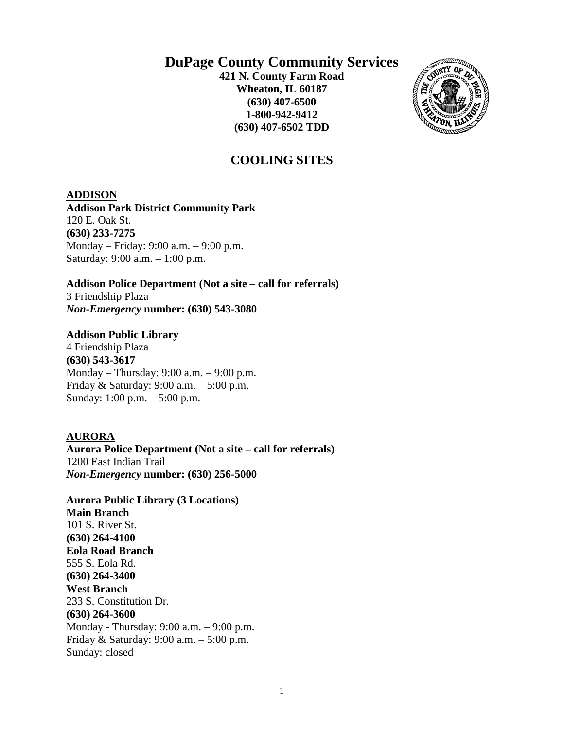## **DuPage County Community Services**

**421 N. County Farm Road Wheaton, IL 60187 (630) 407-6500 1-800-942-9412 (630) 407-6502 TDD**



## **COOLING SITES**

#### **ADDISON**

**Addison Park District Community Park**  120 E. Oak St. **(630) 233-7275** Monday – Friday: 9:00 a.m. – 9:00 p.m. Saturday: 9:00 a.m. – 1:00 p.m.

## **Addison Police Department (Not a site – call for referrals)**

3 Friendship Plaza *Non-Emergency* **number: (630) 543-3080**

## **Addison Public Library**

4 Friendship Plaza **(630) 543-3617** Monday – Thursday: 9:00 a.m. – 9:00 p.m. Friday & Saturday: 9:00 a.m. – 5:00 p.m. Sunday: 1:00 p.m. – 5:00 p.m.

## **AURORA**

**Aurora Police Department (Not a site – call for referrals)**  1200 East Indian Trail *Non-Emergency* **number: (630) 256-5000** 

**Aurora Public Library (3 Locations) Main Branch**  101 S. River St. **(630) 264-4100 Eola Road Branch** 555 S. Eola Rd. **(630) 264-3400 West Branch** 233 S. Constitution Dr. **(630) 264-3600** Monday - Thursday: 9:00 a.m. – 9:00 p.m. Friday & Saturday: 9:00 a.m. – 5:00 p.m. Sunday: closed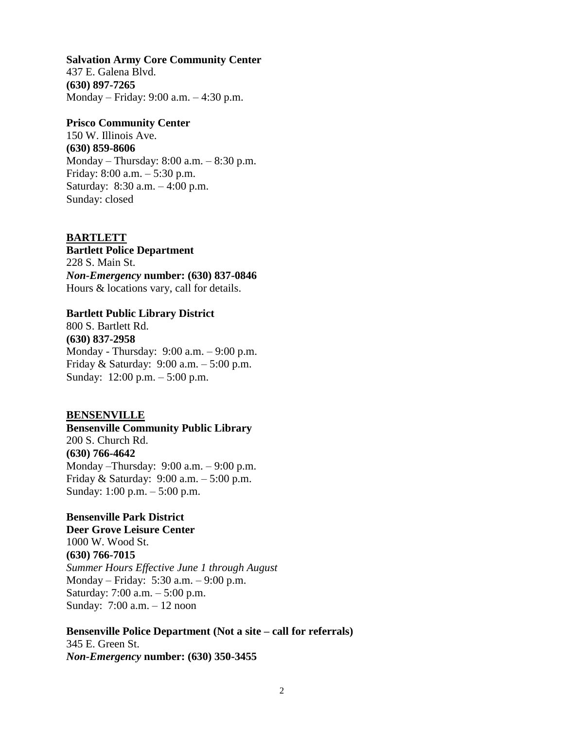#### **Salvation Army Core Community Center**

437 E. Galena Blvd. **(630) 897-7265** Monday – Friday: 9:00 a.m. – 4:30 p.m.

## **Prisco Community Center**

150 W. Illinois Ave. **(630) 859-8606** Monday – Thursday: 8:00 a.m. – 8:30 p.m. Friday: 8:00 a.m. – 5:30 p.m. Saturday: 8:30 a.m. – 4:00 p.m. Sunday: closed

#### **BARTLETT**

**Bartlett Police Department** 228 S. Main St. *Non-Emergency* **number: (630) 837-0846** Hours & locations vary, call for details.

#### **Bartlett Public Library District**

800 S. Bartlett Rd. **(630) 837-2958** Monday - Thursday: 9:00 a.m. – 9:00 p.m. Friday & Saturday: 9:00 a.m. – 5:00 p.m. Sunday: 12:00 p.m. – 5:00 p.m.

#### **BENSENVILLE**

**Bensenville Community Public Library** 200 S. Church Rd. **(630) 766-4642** Monday –Thursday: 9:00 a.m. – 9:00 p.m. Friday & Saturday: 9:00 a.m. – 5:00 p.m. Sunday: 1:00 p.m. – 5:00 p.m.

## **Bensenville Park District**

**Deer Grove Leisure Center** 1000 W. Wood St. **(630) 766-7015** *Summer Hours Effective June 1 through August* Monday – Friday: 5:30 a.m. – 9:00 p.m. Saturday: 7:00 a.m. – 5:00 p.m. Sunday: 7:00 a.m. – 12 noon

#### **Bensenville Police Department (Not a site – call for referrals)**

345 E. Green St. *Non-Emergency* **number: (630) 350-3455**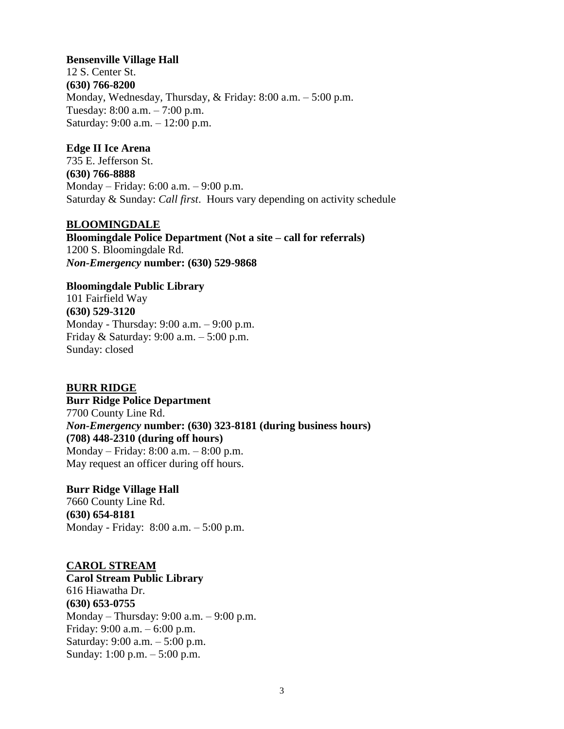#### **Bensenville Village Hall**

12 S. Center St. **(630) 766-8200** Monday, Wednesday, Thursday, & Friday: 8:00 a.m. – 5:00 p.m. Tuesday: 8:00 a.m. – 7:00 p.m. Saturday: 9:00 a.m. – 12:00 p.m.

#### **Edge II Ice Arena**

735 E. Jefferson St. **(630) 766-8888**  Monday – Friday: 6:00 a.m. – 9:00 p.m. Saturday & Sunday: *Call first*. Hours vary depending on activity schedule

## **BLOOMINGDALE**

**Bloomingdale Police Department (Not a site – call for referrals)** 1200 S. Bloomingdale Rd. *Non-Emergency* **number: (630) 529-9868**

**Bloomingdale Public Library** 101 Fairfield Way **(630) 529-3120**  Monday - Thursday: 9:00 a.m. – 9:00 p.m. Friday & Saturday: 9:00 a.m. – 5:00 p.m. Sunday: closed

**BURR RIDGE Burr Ridge Police Department**  7700 County Line Rd. *Non-Emergency* **number: (630) 323-8181 (during business hours) (708) 448-2310 (during off hours)** Monday – Friday: 8:00 a.m. – 8:00 p.m. May request an officer during off hours.

**Burr Ridge Village Hall** 7660 County Line Rd. **(630) 654-8181** Monday - Friday: 8:00 a.m. – 5:00 p.m.

## **CAROL STREAM**

**Carol Stream Public Library** 616 Hiawatha Dr. **(630) 653-0755** Monday – Thursday: 9:00 a.m. – 9:00 p.m. Friday: 9:00 a.m. – 6:00 p.m. Saturday: 9:00 a.m. – 5:00 p.m. Sunday: 1:00 p.m. – 5:00 p.m.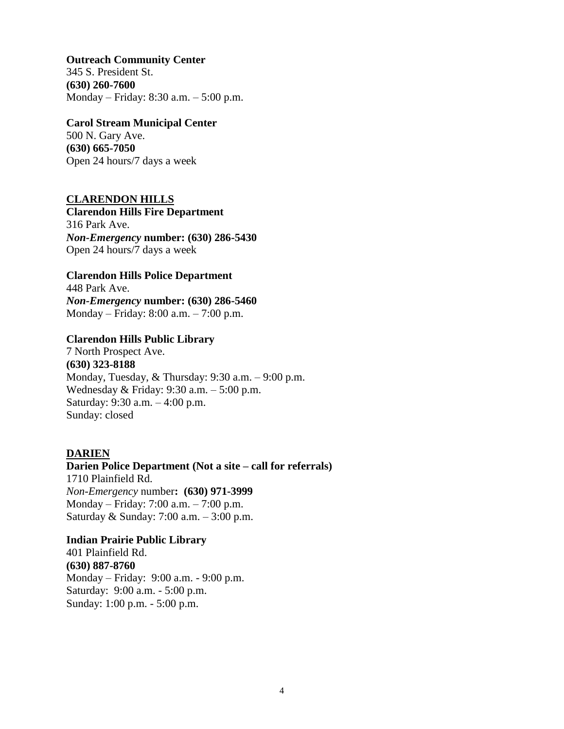#### **Outreach Community Center**

345 S. President St. **(630) 260-7600** Monday – Friday: 8:30 a.m. – 5:00 p.m.

#### **Carol Stream Municipal Center**

500 N. Gary Ave. **(630) 665-7050** Open 24 hours/7 days a week

## **CLARENDON HILLS**

**Clarendon Hills Fire Department** 316 Park Ave. *Non-Emergency* **number: (630) 286-5430** Open 24 hours/7 days a week

## **Clarendon Hills Police Department**

448 Park Ave. *Non-Emergency* **number: (630) 286-5460** Monday – Friday: 8:00 a.m. – 7:00 p.m.

## **Clarendon Hills Public Library**

7 North Prospect Ave. **(630) 323-8188** Monday, Tuesday, & Thursday: 9:30 a.m. – 9:00 p.m. Wednesday & Friday: 9:30 a.m. – 5:00 p.m. Saturday: 9:30 a.m. – 4:00 p.m. Sunday: closed

## **DARIEN**

**Darien Police Department (Not a site – call for referrals)** 1710 Plainfield Rd. *Non-Emergency* number**: (630) 971-3999** Monday – Friday: 7:00 a.m. – 7:00 p.m. Saturday & Sunday: 7:00 a.m. – 3:00 p.m.

## **Indian Prairie Public Library**

401 Plainfield Rd. **(630) 887-8760**  Monday – Friday: 9:00 a.m. - 9:00 p.m. Saturday: 9:00 a.m. - 5:00 p.m. Sunday: 1:00 p.m. - 5:00 p.m.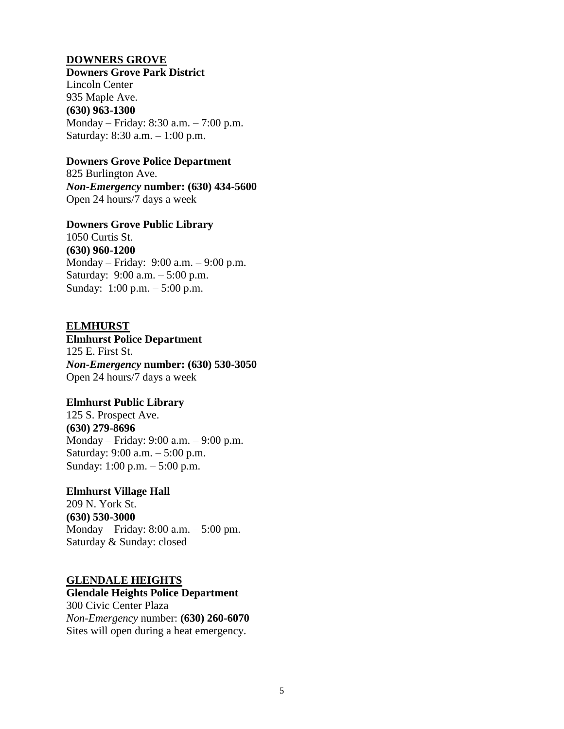#### **DOWNERS GROVE**

#### **Downers Grove Park District**

Lincoln Center 935 Maple Ave. **(630) 963-1300** Monday – Friday: 8:30 a.m. – 7:00 p.m. Saturday: 8:30 a.m. – 1:00 p.m.

#### **Downers Grove Police Department**

825 Burlington Ave. *Non-Emergency* **number: (630) 434-5600** Open 24 hours/7 days a week

#### **Downers Grove Public Library**

1050 Curtis St. **(630) 960-1200**  Monday – Friday: 9:00 a.m. – 9:00 p.m. Saturday: 9:00 a.m. – 5:00 p.m. Sunday: 1:00 p.m. – 5:00 p.m.

## **ELMHURST**

**Elmhurst Police Department** 125 E. First St. *Non-Emergency* **number: (630) 530-3050** Open 24 hours/7 days a week

#### **Elmhurst Public Library**

125 S. Prospect Ave. **(630) 279-8696**  Monday – Friday: 9:00 a.m. – 9:00 p.m. Saturday: 9:00 a.m. – 5:00 p.m. Sunday: 1:00 p.m. – 5:00 p.m.

## **Elmhurst Village Hall**

209 N. York St. **(630) 530-3000** Monday – Friday: 8:00 a.m. – 5:00 pm. Saturday & Sunday: closed

## **GLENDALE HEIGHTS**

**Glendale Heights Police Department** 300 Civic Center Plaza *Non-Emergency* number: **(630) 260-6070** Sites will open during a heat emergency.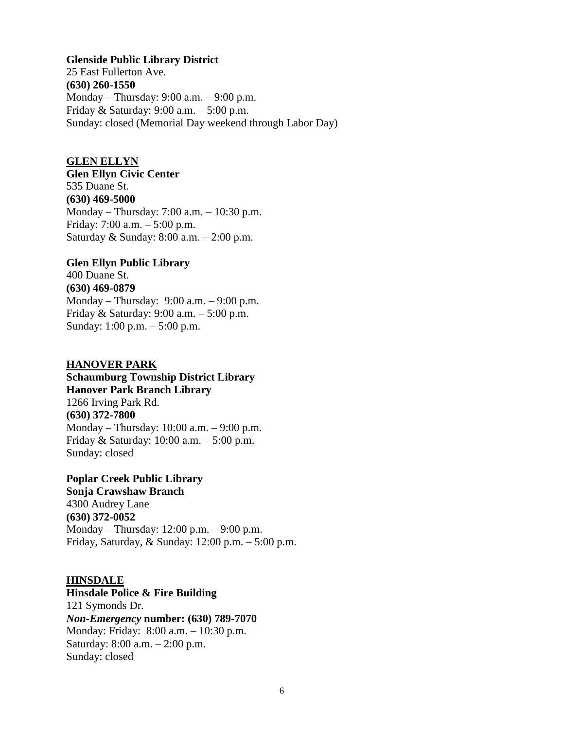#### **Glenside Public Library District**

25 East Fullerton Ave. **(630) 260-1550**  Monday – Thursday: 9:00 a.m. – 9:00 p.m. Friday & Saturday: 9:00 a.m. – 5:00 p.m. Sunday: closed (Memorial Day weekend through Labor Day)

## **GLEN ELLYN**

**Glen Ellyn Civic Center** 535 Duane St. **(630) 469-5000** Monday – Thursday: 7:00 a.m. – 10:30 p.m. Friday: 7:00 a.m. – 5:00 p.m. Saturday & Sunday: 8:00 a.m. – 2:00 p.m.

#### **Glen Ellyn Public Library**

400 Duane St. **(630) 469-0879**  Monday – Thursday: 9:00 a.m. – 9:00 p.m. Friday & Saturday: 9:00 a.m. – 5:00 p.m. Sunday: 1:00 p.m. – 5:00 p.m.

#### **HANOVER PARK**

**Schaumburg Township District Library Hanover Park Branch Library** 1266 Irving Park Rd. **(630) 372-7800** Monday – Thursday: 10:00 a.m. – 9:00 p.m. Friday & Saturday: 10:00 a.m. – 5:00 p.m. Sunday: closed

**Poplar Creek Public Library Sonja Crawshaw Branch** 4300 Audrey Lane **(630) 372-0052**

Monday – Thursday: 12:00 p.m. – 9:00 p.m. Friday, Saturday, & Sunday: 12:00 p.m. – 5:00 p.m.

#### **HINSDALE**

**Hinsdale Police & Fire Building** 121 Symonds Dr. *Non-Emergency* **number: (630) 789-7070** Monday: Friday: 8:00 a.m. – 10:30 p.m. Saturday: 8:00 a.m. – 2:00 p.m. Sunday: closed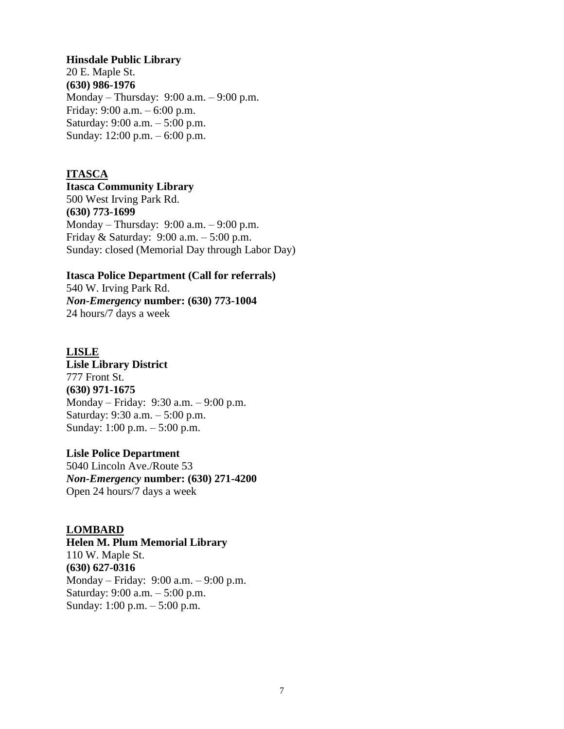#### **Hinsdale Public Library**

20 E. Maple St. **(630) 986-1976**  Monday – Thursday: 9:00 a.m. – 9:00 p.m. Friday: 9:00 a.m. – 6:00 p.m. Saturday: 9:00 a.m. – 5:00 p.m. Sunday: 12:00 p.m. – 6:00 p.m.

## **ITASCA**

**Itasca Community Library** 500 West Irving Park Rd. **(630) 773-1699** Monday – Thursday: 9:00 a.m. – 9:00 p.m. Friday & Saturday: 9:00 a.m. – 5:00 p.m. Sunday: closed (Memorial Day through Labor Day)

#### **Itasca Police Department (Call for referrals)**

540 W. Irving Park Rd. *Non-Emergency* **number: (630) 773-1004** 24 hours/7 days a week

## **LISLE**

**Lisle Library District** 777 Front St. **(630) 971-1675** Monday – Friday: 9:30 a.m. – 9:00 p.m. Saturday: 9:30 a.m. – 5:00 p.m. Sunday: 1:00 p.m. – 5:00 p.m.

## **Lisle Police Department**

5040 Lincoln Ave./Route 53 *Non-Emergency* **number: (630) 271-4200** Open 24 hours/7 days a week

## **LOMBARD**

**Helen M. Plum Memorial Library**

110 W. Maple St. **(630) 627-0316** Monday – Friday: 9:00 a.m. – 9:00 p.m. Saturday: 9:00 a.m. – 5:00 p.m. Sunday: 1:00 p.m. – 5:00 p.m.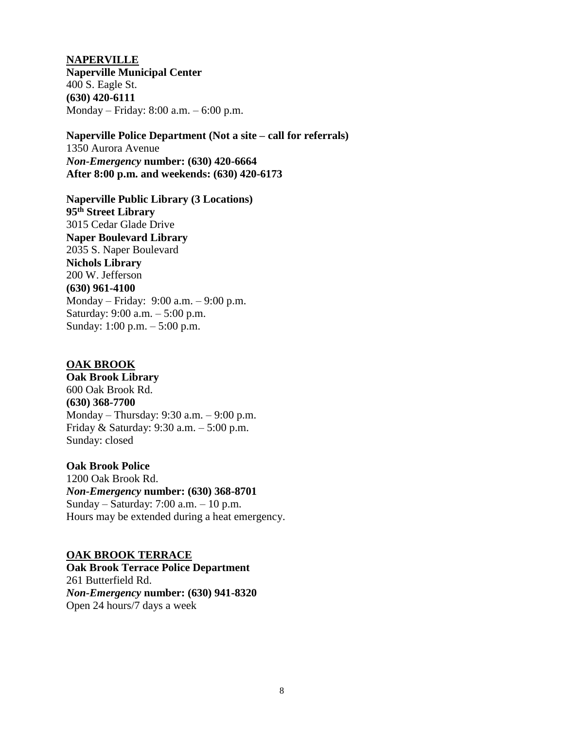**NAPERVILLE Naperville Municipal Center** 400 S. Eagle St. **(630) 420-6111** Monday – Friday: 8:00 a.m. – 6:00 p.m.

**Naperville Police Department (Not a site – call for referrals)** 1350 Aurora Avenue *Non-Emergency* **number: (630) 420-6664 After 8:00 p.m. and weekends: (630) 420-6173** 

**Naperville Public Library (3 Locations) 95th Street Library** 3015 Cedar Glade Drive **Naper Boulevard Library** 2035 S. Naper Boulevard **Nichols Library** 200 W. Jefferson **(630) 961-4100** Monday – Friday: 9:00 a.m. – 9:00 p.m. Saturday: 9:00 a.m. – 5:00 p.m. Sunday: 1:00 p.m. – 5:00 p.m.

## **OAK BROOK**

**Oak Brook Library** 600 Oak Brook Rd. **(630) 368-7700** Monday – Thursday: 9:30 a.m. – 9:00 p.m. Friday & Saturday: 9:30 a.m. – 5:00 p.m. Sunday: closed

#### **Oak Brook Police**

1200 Oak Brook Rd. *Non-Emergency* **number: (630) 368-8701** Sunday – Saturday: 7:00 a.m. – 10 p.m. Hours may be extended during a heat emergency.

#### **OAK BROOK TERRACE**

**Oak Brook Terrace Police Department** 261 Butterfield Rd. *Non-Emergency* **number: (630) 941-8320** Open 24 hours/7 days a week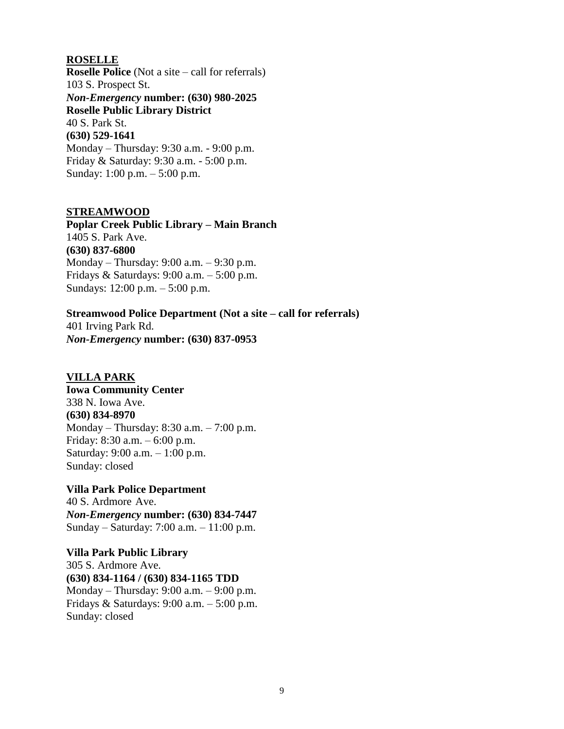#### **ROSELLE**

**Roselle Police** (Not a site – call for referrals) 103 S. Prospect St. *Non-Emergency* **number: (630) 980-2025 Roselle Public Library District** 40 S. Park St. **(630) 529-1641**  Monday – Thursday: 9:30 a.m. - 9:00 p.m. Friday & Saturday: 9:30 a.m. - 5:00 p.m. Sunday: 1:00 p.m. – 5:00 p.m.

#### **STREAMWOOD**

**Poplar Creek Public Library – Main Branch** 1405 S. Park Ave. **(630) 837-6800** Monday – Thursday: 9:00 a.m. – 9:30 p.m. Fridays & Saturdays: 9:00 a.m. – 5:00 p.m. Sundays: 12:00 p.m. – 5:00 p.m.

## **Streamwood Police Department (Not a site – call for referrals)**

401 Irving Park Rd. *Non-Emergency* **number: (630) 837-0953**

## **VILLA PARK**

**Iowa Community Center** 338 N. Iowa Ave. **(630) 834-8970** Monday – Thursday: 8:30 a.m. – 7:00 p.m. Friday: 8:30 a.m. – 6:00 p.m. Saturday: 9:00 a.m. – 1:00 p.m. Sunday: closed

**Villa Park Police Department** 40 S. Ardmore Ave. *Non-Emergency* **number: (630) 834-7447** Sunday – Saturday: 7:00 a.m. – 11:00 p.m.

**Villa Park Public Library** 305 S. Ardmore Ave. **(630) 834-1164 / (630) 834-1165 TDD** Monday – Thursday: 9:00 a.m. – 9:00 p.m. Fridays & Saturdays: 9:00 a.m. – 5:00 p.m. Sunday: closed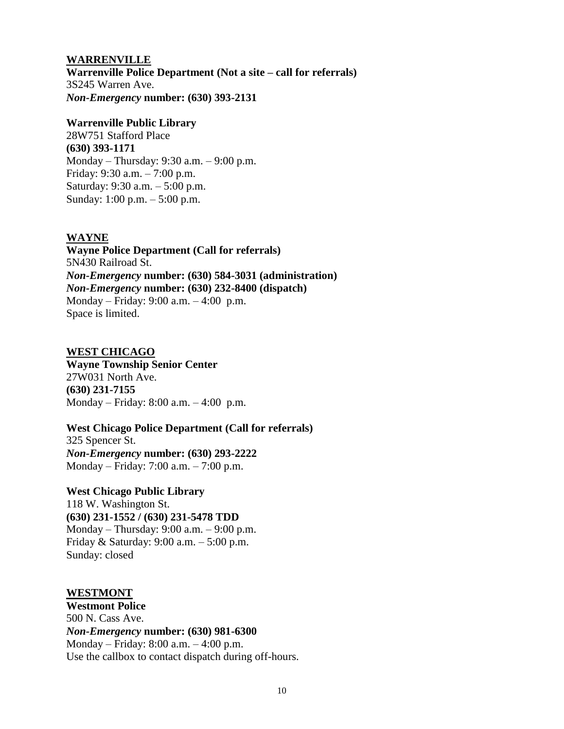#### **WARRENVILLE**

**Warrenville Police Department (Not a site – call for referrals)** 3S245 Warren Ave. *Non-Emergency* **number: (630) 393-2131**

#### **Warrenville Public Library**

28W751 Stafford Place **(630) 393-1171** Monday – Thursday: 9:30 a.m. – 9:00 p.m. Friday: 9:30 a.m. – 7:00 p.m. Saturday: 9:30 a.m. – 5:00 p.m. Sunday: 1:00 p.m. – 5:00 p.m.

## **WAYNE**

**Wayne Police Department (Call for referrals)** 5N430 Railroad St. *Non-Emergency* **number: (630) 584-3031 (administration)** *Non-Emergency* **number: (630) 232-8400 (dispatch)** Monday – Friday: 9:00 a.m. – 4:00 p.m. Space is limited.

## **WEST CHICAGO**

**Wayne Township Senior Center** 27W031 North Ave. **(630) 231-7155** Monday – Friday: 8:00 a.m. – 4:00 p.m.

## **West Chicago Police Department (Call for referrals)** 325 Spencer St.

*Non-Emergency* **number: (630) 293-2222** Monday – Friday: 7:00 a.m. – 7:00 p.m.

**West Chicago Public Library** 118 W. Washington St. **(630) 231-1552 / (630) 231-5478 TDD** Monday – Thursday: 9:00 a.m. – 9:00 p.m. Friday & Saturday: 9:00 a.m. – 5:00 p.m. Sunday: closed

## **WESTMONT**

**Westmont Police** 500 N. Cass Ave. *Non-Emergency* **number: (630) 981-6300** Monday – Friday: 8:00 a.m. – 4:00 p.m. Use the callbox to contact dispatch during off-hours.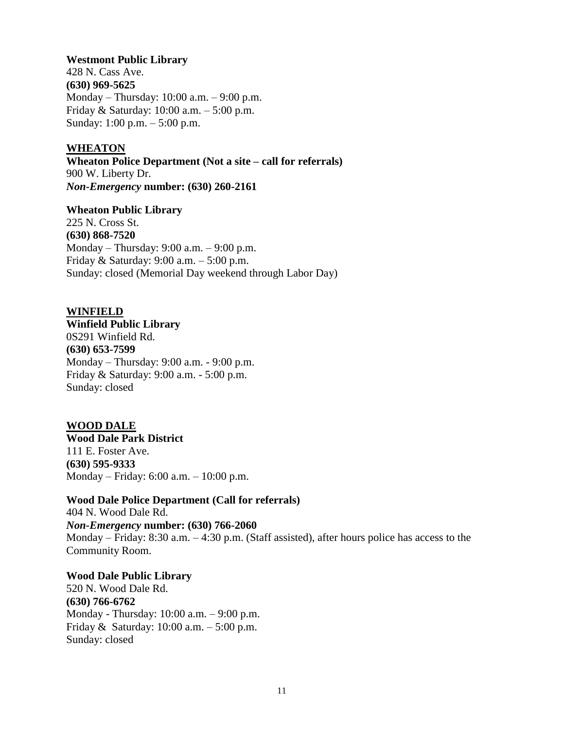**Westmont Public Library**  428 N. Cass Ave. **(630) 969-5625** Monday – Thursday: 10:00 a.m. – 9:00 p.m. Friday & Saturday: 10:00 a.m. – 5:00 p.m. Sunday: 1:00 p.m. – 5:00 p.m.

## **WHEATON**

**Wheaton Police Department (Not a site – call for referrals)** 900 W. Liberty Dr. *Non-Emergency* **number: (630) 260-2161**

**Wheaton Public Library**  225 N. Cross St. **(630) 868-7520** 

Monday – Thursday: 9:00 a.m. – 9:00 p.m. Friday & Saturday: 9:00 a.m. – 5:00 p.m. Sunday: closed (Memorial Day weekend through Labor Day)

#### **WINFIELD**

**Winfield Public Library** 0S291 Winfield Rd. **(630) 653-7599** Monday – Thursday: 9:00 a.m. - 9:00 p.m. Friday & Saturday: 9:00 a.m. - 5:00 p.m. Sunday: closed

**WOOD DALE Wood Dale Park District** 111 E. Foster Ave. **(630) 595-9333** Monday – Friday: 6:00 a.m. – 10:00 p.m.

**Wood Dale Police Department (Call for referrals)** 404 N. Wood Dale Rd. *Non-Emergency* **number: (630) 766-2060** Monday – Friday: 8:30 a.m. – 4:30 p.m. (Staff assisted), after hours police has access to the Community Room.

**Wood Dale Public Library** 520 N. Wood Dale Rd. **(630) 766-6762** Monday - Thursday: 10:00 a.m. – 9:00 p.m. Friday & Saturday: 10:00 a.m. – 5:00 p.m. Sunday: closed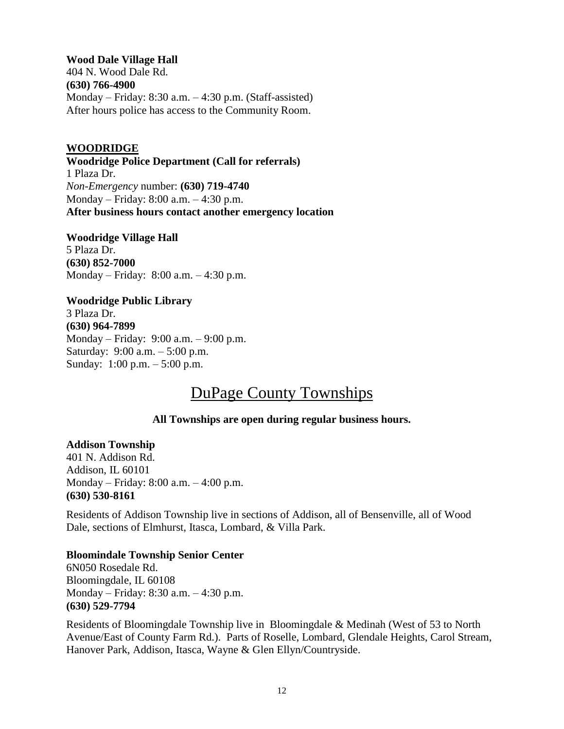**Wood Dale Village Hall** 404 N. Wood Dale Rd. **(630) 766-4900** Monday – Friday: 8:30 a.m. – 4:30 p.m. (Staff-assisted) After hours police has access to the Community Room.

## **WOODRIDGE**

**Woodridge Police Department (Call for referrals)** 1 Plaza Dr. *Non-Emergency* number: **(630) 719-4740** Monday – Friday: 8:00 a.m. – 4:30 p.m. **After business hours contact another emergency location**

**Woodridge Village Hall** 5 Plaza Dr. **(630) 852-7000** Monday – Friday: 8:00 a.m. – 4:30 p.m.

## **Woodridge Public Library** 3 Plaza Dr. **(630) 964-7899** Monday – Friday: 9:00 a.m. – 9:00 p.m. Saturday: 9:00 a.m. – 5:00 p.m. Sunday: 1:00 p.m. – 5:00 p.m.

# DuPage County Townships

## **All Townships are open during regular business hours.**

## **Addison Township**

401 N. Addison Rd. Addison, IL 60101 Monday – Friday: 8:00 a.m. – 4:00 p.m. **(630) 530-8161**

Residents of Addison Township live in sections of Addison, all of Bensenville, all of Wood Dale, sections of Elmhurst, Itasca, Lombard, & Villa Park.

## **Bloomindale Township Senior Center**

6N050 Rosedale Rd. Bloomingdale, IL 60108 Monday – Friday: 8:30 a.m. – 4:30 p.m. **(630) 529-7794**

Residents of Bloomingdale Township live in Bloomingdale & Medinah (West of 53 to North Avenue/East of County Farm Rd.). Parts of Roselle, Lombard, Glendale Heights, Carol Stream, Hanover Park, Addison, Itasca, Wayne & Glen Ellyn/Countryside.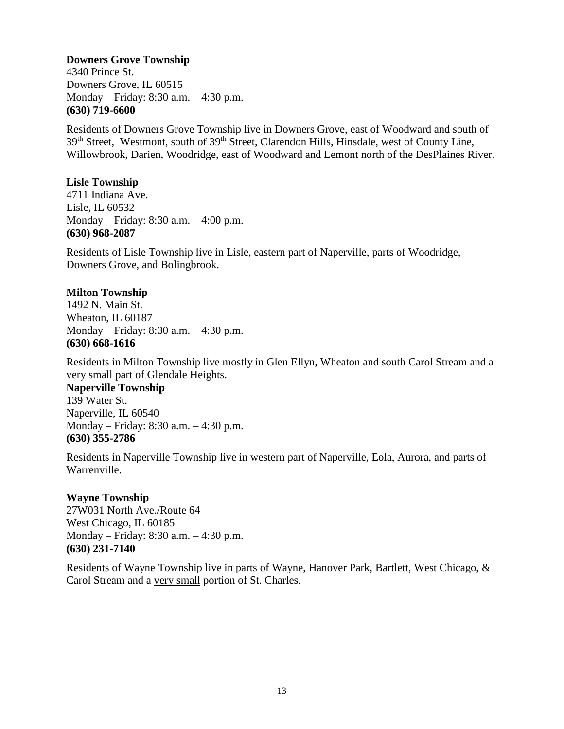## **Downers Grove Township**

4340 Prince St. Downers Grove, IL 60515 Monday – Friday: 8:30 a.m. – 4:30 p.m. **(630) 719-6600**

Residents of Downers Grove Township live in Downers Grove, east of Woodward and south of 39<sup>th</sup> Street, Westmont, south of 39<sup>th</sup> Street, Clarendon Hills, Hinsdale, west of County Line, Willowbrook, Darien, Woodridge, east of Woodward and Lemont north of the DesPlaines River.

## **Lisle Township**

4711 Indiana Ave. Lisle, IL 60532 Monday – Friday: 8:30 a.m. – 4:00 p.m. **(630) 968-2087**

Residents of Lisle Township live in Lisle, eastern part of Naperville, parts of Woodridge, Downers Grove, and Bolingbrook.

## **Milton Township**

1492 N. Main St. Wheaton, IL 60187 Monday – Friday: 8:30 a.m. – 4:30 p.m. **(630) 668-1616**

Residents in Milton Township live mostly in Glen Ellyn, Wheaton and south Carol Stream and a very small part of Glendale Heights.

## **Naperville Township**

139 Water St. Naperville, IL 60540 Monday – Friday: 8:30 a.m. – 4:30 p.m. **(630) 355-2786**

Residents in Naperville Township live in western part of Naperville, Eola, Aurora, and parts of Warrenville.

## **Wayne Township**

27W031 North Ave./Route 64 West Chicago, IL 60185 Monday – Friday: 8:30 a.m. – 4:30 p.m. **(630) 231-7140**

Residents of Wayne Township live in parts of Wayne, Hanover Park, Bartlett, West Chicago, & Carol Stream and a very small portion of St. Charles.